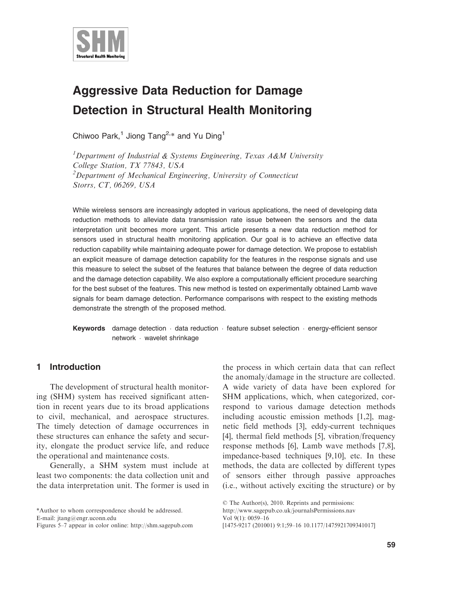

# Aggressive Data Reduction for Damage Detection in Structural Health Monitoring

Chiwoo Park,<sup>1</sup> Jiong Tang<sup>2,\*</sup> and Yu Ding<sup>1</sup>

<sup>1</sup>Department of Industrial & Systems Engineering, Texas A&M University College Station, TX 77843, USA  $2$ Department of Mechanical Engineering, University of Connecticut Storrs, CT, 06269, USA

While wireless sensors are increasingly adopted in various applications, the need of developing data reduction methods to alleviate data transmission rate issue between the sensors and the data interpretation unit becomes more urgent. This article presents a new data reduction method for sensors used in structural health monitoring application. Our goal is to achieve an effective data reduction capability while maintaining adequate power for damage detection. We propose to establish an explicit measure of damage detection capability for the features in the response signals and use this measure to select the subset of the features that balance between the degree of data reduction and the damage detection capability. We also explore a computationally efficient procedure searching for the best subset of the features. This new method is tested on experimentally obtained Lamb wave signals for beam damage detection. Performance comparisons with respect to the existing methods demonstrate the strength of the proposed method.

Keywords damage detection · data reduction · feature subset selection · energy-efficient sensor network - wavelet shrinkage

## 1 Introduction

The development of structural health monitoring (SHM) system has received significant attention in recent years due to its broad applications to civil, mechanical, and aerospace structures. The timely detection of damage occurrences in these structures can enhance the safety and security, elongate the product service life, and reduce the operational and maintenance costs.

Generally, a SHM system must include at least two components: the data collection unit and the data interpretation unit. The former is used in the process in which certain data that can reflect the anomaly/damage in the structure are collected. A wide variety of data have been explored for SHM applications, which, when categorized, correspond to various damage detection methods including acoustic emission methods [1,2], magnetic field methods [3], eddy-current techniques [4], thermal field methods [5], vibration/frequency response methods [6], Lamb wave methods [7,8], impedance-based techniques [9,10], etc. In these methods, the data are collected by different types of sensors either through passive approaches (i.e., without actively exciting the structure) or by

<sup>\*</sup>Author to whom correspondence should be addressed. E-mail: jtang@engr.uconn.edu

Figures 5–7 appear in color online: http://shm.sagepub.com

<sup>©</sup> The Author(s), 2010. Reprints and permissions:

http://www.sagepub.co.uk/journalsPermissions.nav

Vol 9(1): 0059–16

<sup>[1475-9217 (201001) 9:1;59–16 10.1177/1475921709341017]</sup>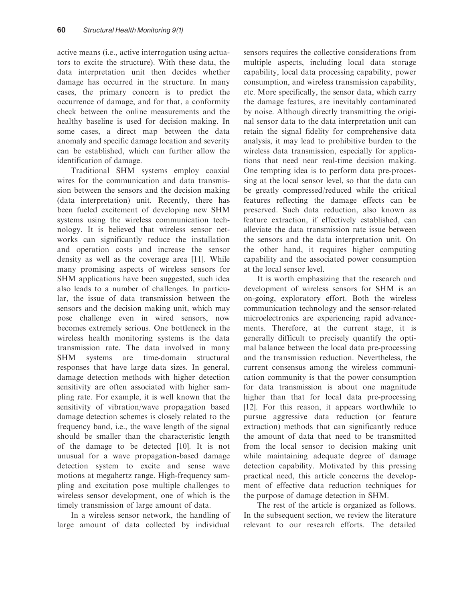active means (i.e., active interrogation using actuators to excite the structure). With these data, the data interpretation unit then decides whether damage has occurred in the structure. In many cases, the primary concern is to predict the occurrence of damage, and for that, a conformity check between the online measurements and the healthy baseline is used for decision making. In some cases, a direct map between the data anomaly and specific damage location and severity can be established, which can further allow the identification of damage.

Traditional SHM systems employ coaxial wires for the communication and data transmission between the sensors and the decision making (data interpretation) unit. Recently, there has been fueled excitement of developing new SHM systems using the wireless communication technology. It is believed that wireless sensor networks can significantly reduce the installation and operation costs and increase the sensor density as well as the coverage area [11]. While many promising aspects of wireless sensors for SHM applications have been suggested, such idea also leads to a number of challenges. In particular, the issue of data transmission between the sensors and the decision making unit, which may pose challenge even in wired sensors, now becomes extremely serious. One bottleneck in the wireless health monitoring systems is the data transmission rate. The data involved in many SHM systems are time-domain structural responses that have large data sizes. In general, damage detection methods with higher detection sensitivity are often associated with higher sampling rate. For example, it is well known that the sensitivity of vibration/wave propagation based damage detection schemes is closely related to the frequency band, i.e., the wave length of the signal should be smaller than the characteristic length of the damage to be detected [10]. It is not unusual for a wave propagation-based damage detection system to excite and sense wave motions at megahertz range. High-frequency sampling and excitation pose multiple challenges to wireless sensor development, one of which is the timely transmission of large amount of data.

In a wireless sensor network, the handling of large amount of data collected by individual

sensors requires the collective considerations from multiple aspects, including local data storage capability, local data processing capability, power consumption, and wireless transmission capability, etc. More specifically, the sensor data, which carry the damage features, are inevitably contaminated by noise. Although directly transmitting the original sensor data to the data interpretation unit can retain the signal fidelity for comprehensive data analysis, it may lead to prohibitive burden to the wireless data transmission, especially for applications that need near real-time decision making. One tempting idea is to perform data pre-processing at the local sensor level, so that the data can be greatly compressed/reduced while the critical features reflecting the damage effects can be preserved. Such data reduction, also known as feature extraction, if effectively established, can alleviate the data transmission rate issue between the sensors and the data interpretation unit. On the other hand, it requires higher computing capability and the associated power consumption at the local sensor level.

It is worth emphasizing that the research and development of wireless sensors for SHM is an on-going, exploratory effort. Both the wireless communication technology and the sensor-related microelectronics are experiencing rapid advancements. Therefore, at the current stage, it is generally difficult to precisely quantify the optimal balance between the local data pre-processing and the transmission reduction. Nevertheless, the current consensus among the wireless communication community is that the power consumption for data transmission is about one magnitude higher than that for local data pre-processing [12]. For this reason, it appears worthwhile to pursue aggressive data reduction (or feature extraction) methods that can significantly reduce the amount of data that need to be transmitted from the local sensor to decision making unit while maintaining adequate degree of damage detection capability. Motivated by this pressing practical need, this article concerns the development of effective data reduction techniques for the purpose of damage detection in SHM.

The rest of the article is organized as follows. In the subsequent section, we review the literature relevant to our research efforts. The detailed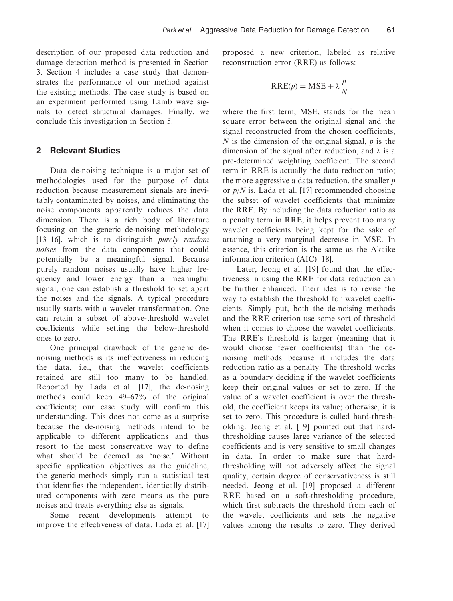description of our proposed data reduction and damage detection method is presented in Section 3. Section 4 includes a case study that demonstrates the performance of our method against the existing methods. The case study is based on an experiment performed using Lamb wave signals to detect structural damages. Finally, we conclude this investigation in Section 5.

## 2 Relevant Studies

Data de-noising technique is a major set of methodologies used for the purpose of data reduction because measurement signals are inevitably contaminated by noises, and eliminating the noise components apparently reduces the data dimension. There is a rich body of literature focusing on the generic de-noising methodology [13–16], which is to distinguish *purely random* noises from the data components that could potentially be a meaningful signal. Because purely random noises usually have higher frequency and lower energy than a meaningful signal, one can establish a threshold to set apart the noises and the signals. A typical procedure usually starts with a wavelet transformation. One can retain a subset of above-threshold wavelet coefficients while setting the below-threshold ones to zero.

One principal drawback of the generic denoising methods is its ineffectiveness in reducing the data, i.e., that the wavelet coefficients retained are still too many to be handled. Reported by Lada et al. [17], the de-nosing methods could keep 49–67% of the original coefficients; our case study will confirm this understanding. This does not come as a surprise because the de-noising methods intend to be applicable to different applications and thus resort to the most conservative way to define what should be deemed as 'noise.' Without specific application objectives as the guideline, the generic methods simply run a statistical test that identifies the independent, identically distributed components with zero means as the pure noises and treats everything else as signals.

Some recent developments attempt to improve the effectiveness of data. Lada et al. [17] proposed a new criterion, labeled as relative reconstruction error (RRE) as follows:

$$
RRE(p) = MSE + \lambda \frac{p}{N}
$$

where the first term, MSE, stands for the mean square error between the original signal and the signal reconstructed from the chosen coefficients, N is the dimension of the original signal,  $p$  is the dimension of the signal after reduction, and  $\lambda$  is a pre-determined weighting coefficient. The second term in RRE is actually the data reduction ratio; the more aggressive a data reduction, the smaller  $p$ or  $p/N$  is. Lada et al. [17] recommended choosing the subset of wavelet coefficients that minimize the RRE. By including the data reduction ratio as a penalty term in RRE, it helps prevent too many wavelet coefficients being kept for the sake of attaining a very marginal decrease in MSE. In essence, this criterion is the same as the Akaike information criterion (AIC) [18].

Later, Jeong et al. [19] found that the effectiveness in using the RRE for data reduction can be further enhanced. Their idea is to revise the way to establish the threshold for wavelet coefficients. Simply put, both the de-noising methods and the RRE criterion use some sort of threshold when it comes to choose the wavelet coefficients. The RRE's threshold is larger (meaning that it would choose fewer coefficients) than the denoising methods because it includes the data reduction ratio as a penalty. The threshold works as a boundary deciding if the wavelet coefficients keep their original values or set to zero. If the value of a wavelet coefficient is over the threshold, the coefficient keeps its value; otherwise, it is set to zero. This procedure is called hard-thresholding. Jeong et al. [19] pointed out that hardthresholding causes large variance of the selected coefficients and is very sensitive to small changes in data. In order to make sure that hardthresholding will not adversely affect the signal quality, certain degree of conservativeness is still needed. Jeong et al. [19] proposed a different RRE based on a soft-thresholding procedure, which first subtracts the threshold from each of the wavelet coefficients and sets the negative values among the results to zero. They derived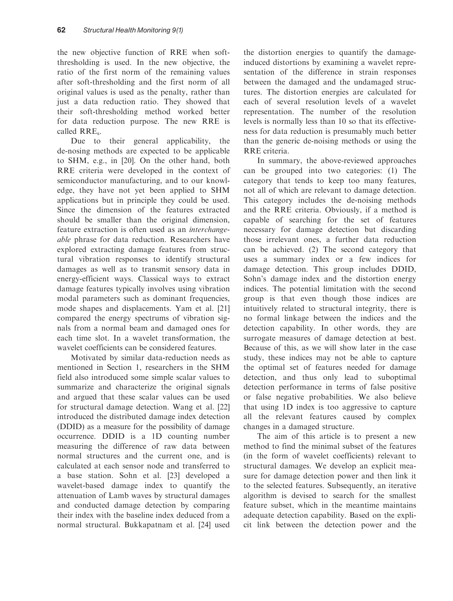the new objective function of RRE when softthresholding is used. In the new objective, the ratio of the first norm of the remaining values after soft-thresholding and the first norm of all original values is used as the penalty, rather than just a data reduction ratio. They showed that their soft-thresholding method worked better for data reduction purpose. The new RRE is called RREs.

Due to their general applicability, the de-nosing methods are expected to be applicable to SHM, e.g., in [20]. On the other hand, both RRE criteria were developed in the context of semiconductor manufacturing, and to our knowledge, they have not yet been applied to SHM applications but in principle they could be used. Since the dimension of the features extracted should be smaller than the original dimension, feature extraction is often used as an interchangeable phrase for data reduction. Researchers have explored extracting damage features from structural vibration responses to identify structural damages as well as to transmit sensory data in energy-efficient ways. Classical ways to extract damage features typically involves using vibration modal parameters such as dominant frequencies, mode shapes and displacements. Yam et al. [21] compared the energy spectrums of vibration signals from a normal beam and damaged ones for each time slot. In a wavelet transformation, the wavelet coefficients can be considered features.

Motivated by similar data-reduction needs as mentioned in Section 1, researchers in the SHM field also introduced some simple scalar values to summarize and characterize the original signals and argued that these scalar values can be used for structural damage detection. Wang et al. [22] introduced the distributed damage index detection (DDID) as a measure for the possibility of damage occurrence. DDID is a 1D counting number measuring the difference of raw data between normal structures and the current one, and is calculated at each sensor node and transferred to a base station. Sohn et al. [23] developed a wavelet-based damage index to quantify the attenuation of Lamb waves by structural damages and conducted damage detection by comparing their index with the baseline index deduced from a normal structural. Bukkapatnam et al. [24] used

the distortion energies to quantify the damageinduced distortions by examining a wavelet representation of the difference in strain responses between the damaged and the undamaged structures. The distortion energies are calculated for each of several resolution levels of a wavelet representation. The number of the resolution levels is normally less than 10 so that its effectiveness for data reduction is presumably much better than the generic de-noising methods or using the RRE criteria.

In summary, the above-reviewed approaches can be grouped into two categories: (1) The category that tends to keep too many features, not all of which are relevant to damage detection. This category includes the de-noising methods and the RRE criteria. Obviously, if a method is capable of searching for the set of features necessary for damage detection but discarding those irrelevant ones, a further data reduction can be achieved. (2) The second category that uses a summary index or a few indices for damage detection. This group includes DDID, Sohn's damage index and the distortion energy indices. The potential limitation with the second group is that even though those indices are intuitively related to structural integrity, there is no formal linkage between the indices and the detection capability. In other words, they are surrogate measures of damage detection at best. Because of this, as we will show later in the case study, these indices may not be able to capture the optimal set of features needed for damage detection, and thus only lead to suboptimal detection performance in terms of false positive or false negative probabilities. We also believe that using 1D index is too aggressive to capture all the relevant features caused by complex changes in a damaged structure.

The aim of this article is to present a new method to find the minimal subset of the features (in the form of wavelet coefficients) relevant to structural damages. We develop an explicit measure for damage detection power and then link it to the selected features. Subsequently, an iterative algorithm is devised to search for the smallest feature subset, which in the meantime maintains adequate detection capability. Based on the explicit link between the detection power and the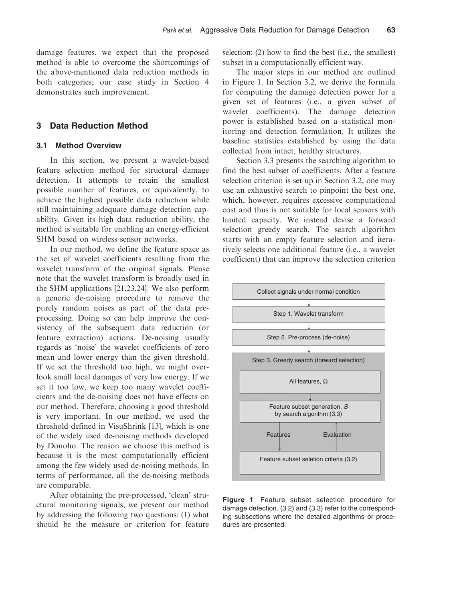damage features, we expect that the proposed method is able to overcome the shortcomings of the above-mentioned data reduction methods in both categories; our case study in Section 4 demonstrates such improvement.

### 3 Data Reduction Method

## 3.1 Method Overview

In this section, we present a wavelet-based feature selection method for structural damage detection. It attempts to retain the smallest possible number of features, or equivalently, to achieve the highest possible data reduction while still maintaining adequate damage detection capability. Given its high data reduction ability, the method is suitable for enabling an energy-efficient SHM based on wireless sensor networks.

In our method, we define the feature space as the set of wavelet coefficients resulting from the wavelet transform of the original signals. Please note that the wavelet transform is broadly used in the SHM applications [21,23,24]. We also perform a generic de-noising procedure to remove the purely random noises as part of the data preprocessing. Doing so can help improve the consistency of the subsequent data reduction (or feature extraction) actions. De-noising usually regards as 'noise' the wavelet coefficients of zero mean and lower energy than the given threshold. If we set the threshold too high, we might overlook small local damages of very low energy. If we set it too low, we keep too many wavelet coefficients and the de-noising does not have effects on our method. Therefore, choosing a good threshold is very important. In our method, we used the threshold defined in VisuShrink [13], which is one of the widely used de-noising methods developed by Donoho. The reason we choose this method is because it is the most computationally efficient among the few widely used de-noising methods. In terms of performance, all the de-noising methods are comparable.

After obtaining the pre-processed, 'clean' structural monitoring signals, we present our method by addressing the following two questions: (1) what should be the measure or criterion for feature selection; (2) how to find the best (i.e., the smallest) subset in a computationally efficient way.

The major steps in our method are outlined in Figure 1. In Section 3.2, we derive the formula for computing the damage detection power for a given set of features (i.e., a given subset of wavelet coefficients). The damage detection power is established based on a statistical monitoring and detection formulation. It utilizes the baseline statistics established by using the data collected from intact, healthy structures.

Section 3.3 presents the searching algorithm to find the best subset of coefficients. After a feature selection criterion is set up in Section 3.2, one may use an exhaustive search to pinpoint the best one, which, however, requires excessive computational cost and thus is not suitable for local sensors with limited capacity. We instead devise a forward selection greedy search. The search algorithm starts with an empty feature selection and iteratively selects one additional feature (i.e., a wavelet coefficient) that can improve the selection criterion



Figure 1 Feature subset selection procedure for damage detection. (3.2) and (3.3) refer to the corresponding subsections where the detailed algorithms or procedures are presented.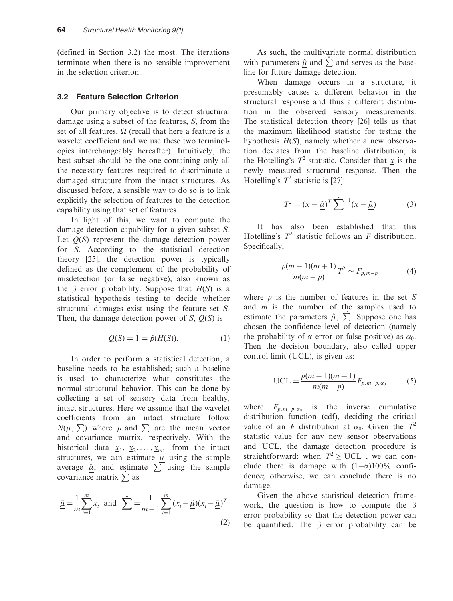(defined in Section 3.2) the most. The iterations terminate when there is no sensible improvement in the selection criterion.

#### 3.2 Feature Selection Criterion

Our primary objective is to detect structural damage using a subset of the features, S, from the set of all features,  $\Omega$  (recall that here a feature is a wavelet coefficient and we use these two terminologies interchangeably hereafter). Intuitively, the best subset should be the one containing only all the necessary features required to discriminate a damaged structure from the intact structures. As discussed before, a sensible way to do so is to link explicitly the selection of features to the detection capability using that set of features.

In light of this, we want to compute the damage detection capability for a given subset S. Let  $Q(S)$  represent the damage detection power for S. According to the statistical detection theory [25], the detection power is typically defined as the complement of the probability of misdetection (or false negative), also known as the  $\beta$  error probability. Suppose that  $H(S)$  is a statistical hypothesis testing to decide whether structural damages exist using the feature set S. Then, the damage detection power of  $S$ ,  $Q(S)$  is

$$
Q(S) = 1 = \beta(H(S)).
$$
 (1)

In order to perform a statistical detection, a baseline needs to be established; such a baseline is used to characterize what constitutes the normal structural behavior. This can be done by collecting a set of sensory data from healthy, intact structures. Here we assume that the wavelet coefficients from an intact structure follow  $N(\mu, \Sigma)$  where  $\mu$  and  $\Sigma$  are the mean vector and covariance matrix, respectively. With the historical data  $x_1, x_2, \ldots, x_m$ , from the intact structures, we can estimate  $\mu$  using the sample average  $\hat{\mu}$ , and estimate  $\sum$  using the sample covariance matrix  $\sum$  as

$$
\hat{\mu} = \frac{1}{m} \sum_{i=1}^{m} x_i \text{ and } \hat{\sum} = \frac{1}{m-1} \sum_{i=1}^{m} (x_i - \hat{\mu})(x_i - \hat{\mu})^T
$$
\n(2)

As such, the multivariate normal distribution with parameters  $\hat{\mu}$  and  $\hat{\Sigma}$  and serves as the baseline for future damage detection.

When damage occurs in a structure, it presumably causes a different behavior in the structural response and thus a different distribution in the observed sensory measurements. The statistical detection theory [26] tells us that the maximum likelihood statistic for testing the hypothesis  $H(S)$ , namely whether a new observation deviates from the baseline distribution, is the Hotelling's  $T^2$  statistic. Consider that x is the newly measured structural response. Then the Hotelling's  $T^2$  statistic is [27]:

$$
T^{2} = (\underline{x} - \underline{\hat{\mu}})^{T} \sum^{\hat{\ } -1} (\underline{x} - \underline{\hat{\mu}})
$$
 (3)

It has also been established that this Hotelling's  $T^2$  statistic follows an F distribution. Specifically,

$$
\frac{p(m-1)(m+1)}{m(m-p)}T^2 \sim F_{p,m-p}
$$
 (4)

where  $p$  is the number of features in the set  $S$ and  $m$  is the number of the samples used to estimate the parameters  $\hat{\mu}$ ,  $\sum$ . Suppose one has chosen the confidence level of detection (namely the probability of  $\alpha$  error or false positive) as  $\alpha_0$ . Then the decision boundary, also called upper control limit (UCL), is given as:

UCL = 
$$
\frac{p(m-1)(m+1)}{m(m-p)} F_{p,m-p,\alpha_0}
$$
 (5)

where  $F_{p, m-p, \alpha_0}$  is the inverse cumulative distribution function (cdf), deciding the critical value of an F distribution at  $\alpha_0$ . Given the  $T^2$ statistic value for any new sensor observations and UCL, the damage detection procedure is straightforward: when  $T^2 \geq UCL$ , we can conclude there is damage with  $(1-\alpha)100\%$  confidence; otherwise, we can conclude there is no damage.

Given the above statistical detection framework, the question is how to compute the  $\beta$ error probability so that the detection power can be quantified. The  $\beta$  error probability can be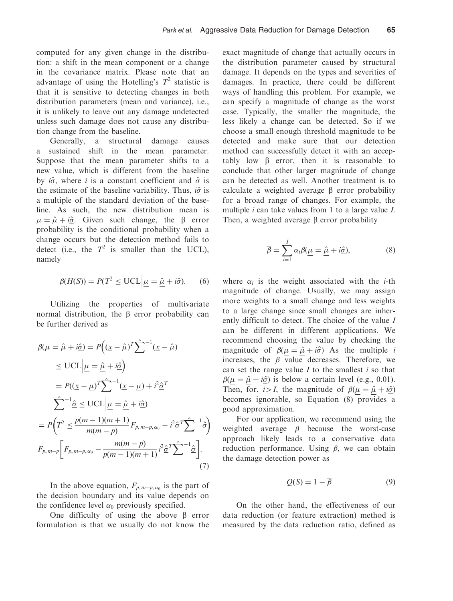computed for any given change in the distribution: a shift in the mean component or a change in the covariance matrix. Please note that an advantage of using the Hotelling's  $T^2$  statistic is that it is sensitive to detecting changes in both distribution parameters (mean and variance), i.e., it is unlikely to leave out any damage undetected unless such damage does not cause any distribution change from the baseline.

Generally, a structural damage causes a sustained shift in the mean parameter. Suppose that the mean parameter shifts to a new value, which is different from the baseline by  $i\hat{\sigma}$ , where i is a constant coefficient and  $\hat{\sigma}$  is the estimate of the baseline variability. Thus,  $i\hat{\sigma}$  is a multiple of the standard deviation of the baseline. As such, the new distribution mean is  $\mu = \hat{\mu} + i\hat{\sigma}$ . Given such change, the  $\beta$  error probability is the conditional probability when a change occurs but the detection method fails to detect (i.e., the  $T^2$  is smaller than the UCL), namely

$$
\beta(H(S)) = P(T^2 \le \text{UCL} | \underline{\mu} = \underline{\hat{\mu}} + i\underline{\hat{\sigma}}). \tag{6}
$$

Utilizing the properties of multivariate normal distribution, the  $\beta$  error probability can be further derived as

$$
\beta(\underline{\mu} = \hat{\underline{\mu}} + i\hat{\underline{\sigma}}) = P((\underline{x} - \hat{\underline{\mu}})^T \hat{\sum}^{-1} (\underline{x} - \hat{\underline{\mu}})
$$
  
\n
$$
\le \text{UCL} | \underline{\mu} = \hat{\underline{\mu}} + i\hat{\underline{\sigma}})
$$
  
\n
$$
= P((\underline{x} - \underline{\mu})^T \hat{\sum}^{-1} (\underline{x} - \underline{\mu}) + i^2 \hat{\underline{\sigma}}^T
$$
  
\n
$$
\hat{\sum}^{-1} \hat{\underline{\sigma}} \le \text{UCL} | \underline{\mu} = \hat{\underline{\mu}} + i\hat{\underline{\sigma}})
$$
  
\n
$$
= P(T^2 \le \frac{p(m-1)(m+1)}{m(m-p)} F_{p,m-p,\alpha_0} - i^2 \hat{\underline{\sigma}}^T \hat{\sum}^{-1} \hat{\underline{\sigma}})
$$
  
\n
$$
F_{p,m-p} \left[ F_{p,m-p,\alpha_0} - \frac{m(m-p)}{p(m-1)(m+1)} i^2 \hat{\underline{\sigma}}^T \hat{\sum}^{-1} \hat{\underline{\sigma}} \right].
$$
  
\n(7)

In the above equation,  $F_{p,m-p,\alpha_0}$  is the part of the decision boundary and its value depends on the confidence level  $\alpha_0$  previously specified.

One difficulty of using the above  $\beta$  error formulation is that we usually do not know the exact magnitude of change that actually occurs in the distribution parameter caused by structural damage. It depends on the types and severities of damages. In practice, there could be different ways of handling this problem. For example, we can specify a magnitude of change as the worst case. Typically, the smaller the magnitude, the less likely a change can be detected. So if we choose a small enough threshold magnitude to be detected and make sure that our detection method can successfully detect it with an acceptably low  $\beta$  error, then it is reasonable to conclude that other larger magnitude of change can be detected as well. Another treatment is to calculate a weighted average  $\beta$  error probability for a broad range of changes. For example, the multiple *i* can take values from 1 to a large value *I*. Then, a weighted average  $\beta$  error probability

$$
\overline{\beta} = \sum_{i=1}^{I} \alpha_i \beta(\underline{\mu} = \hat{\underline{\mu}} + i\hat{\underline{\sigma}}),
$$
 (8)

where  $\alpha_i$  is the weight associated with the *i*-th magnitude of change. Usually, we may assign more weights to a small change and less weights to a large change since small changes are inherently difficult to detect. The choice of the value I can be different in different applications. We recommend choosing the value by checking the magnitude of  $\beta(\mu = \hat{\mu} + i\hat{\sigma})$  As the multiple i increases, the  $\beta$  value decreases. Therefore, we can set the range value  $I$  to the smallest  $i$  so that  $\beta(\mu = \hat{\mu} + i\hat{\sigma})$  is below a certain level (e.g., 0.01). Then, for,  $i > I$ , the magnitude of  $\beta(\mu = \hat{\mu} + i\hat{\sigma})$ becomes ignorable, so Equation (8) provides a good approximation.

For our application, we recommend using the weighted average  $\overline{\beta}$  because the worst-case approach likely leads to a conservative data reduction performance. Using  $\overline{\beta}$ , we can obtain the damage detection power as

$$
Q(S) = 1 - \overline{\beta} \tag{9}
$$

On the other hand, the effectiveness of our data reduction (or feature extraction) method is measured by the data reduction ratio, defined as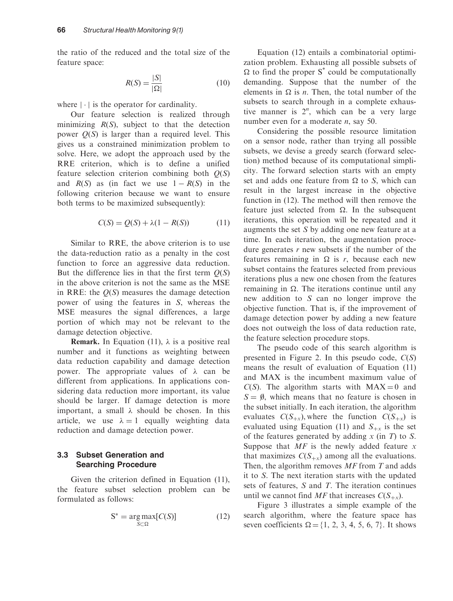the ratio of the reduced and the total size of the feature space:

$$
R(S) = \frac{|S|}{|\Omega|} \tag{10}
$$

where  $|\cdot|$  is the operator for cardinality.

Our feature selection is realized through minimizing  $R(S)$ , subject to that the detection power  $Q(S)$  is larger than a required level. This gives us a constrained minimization problem to solve. Here, we adopt the approach used by the RRE criterion, which is to define a unified feature selection criterion combining both  $Q(S)$ and  $R(S)$  as (in fact we use  $1 - R(S)$  in the following criterion because we want to ensure both terms to be maximized subsequently):

$$
C(S) = Q(S) + \lambda(1 - R(S)) \tag{11}
$$

Similar to RRE, the above criterion is to use the data-reduction ratio as a penalty in the cost function to force an aggressive data reduction. But the difference lies in that the first term  $O(S)$ in the above criterion is not the same as the MSE in RRE: the  $Q(S)$  measures the damage detection power of using the features in S, whereas the MSE measures the signal differences, a large portion of which may not be relevant to the damage detection objective.

**Remark.** In Equation (11),  $\lambda$  is a positive real number and it functions as weighting between data reduction capability and damage detection power. The appropriate values of  $\lambda$  can be different from applications. In applications considering data reduction more important, its value should be larger. If damage detection is more important, a small  $\lambda$  should be chosen. In this article, we use  $\lambda = 1$  equally weighting data reduction and damage detection power.

## 3.3 Subset Generation and Searching Procedure

Given the criterion defined in Equation (11), the feature subset selection problem can be formulated as follows:

$$
S^* = \underset{S \subset \Omega}{\text{arg}\max} [C(S)] \tag{12}
$$

Equation (12) entails a combinatorial optimization problem. Exhausting all possible subsets of  $\Omega$  to find the proper  $S^*$  could be computationally demanding. Suppose that the number of the elements in  $\Omega$  is *n*. Then, the total number of the subsets to search through in a complete exhaustive manner is  $2^n$ , which can be a very large number even for a moderate  $n$ , say 50.

Considering the possible resource limitation on a sensor node, rather than trying all possible subsets, we devise a greedy search (forward selection) method because of its computational simplicity. The forward selection starts with an empty set and adds one feature from  $\Omega$  to S, which can result in the largest increase in the objective function in (12). The method will then remove the feature just selected from  $\Omega$ . In the subsequent iterations, this operation will be repeated and it augments the set S by adding one new feature at a time. In each iteration, the augmentation procedure generates  $r$  new subsets if the number of the features remaining in  $\Omega$  is r, because each new subset contains the features selected from previous iterations plus a new one chosen from the features remaining in  $\Omega$ . The iterations continue until any new addition to S can no longer improve the objective function. That is, if the improvement of damage detection power by adding a new feature does not outweigh the loss of data reduction rate, the feature selection procedure stops.

The pseudo code of this search algorithm is presented in Figure 2. In this pseudo code,  $C(S)$ means the result of evaluation of Equation (11) and MAX is the incumbent maximum value of  $C(S)$ . The algorithm starts with  $MAX = 0$  and  $S = \emptyset$ , which means that no feature is chosen in the subset initially. In each iteration, the algorithm evaluates  $C(S_{+x})$ , where the function  $C(S_{+x})$  is evaluated using Equation (11) and  $S_{+x}$  is the set of the features generated by adding  $x$  (in  $T$ ) to  $S$ . Suppose that  $MF$  is the newly added feature x that maximizes  $C(S_{+x})$  among all the evaluations. Then, the algorithm removes  $MF$  from  $T$  and adds it to S. The next iteration starts with the updated sets of features,  $S$  and  $T$ . The iteration continues until we cannot find MF that increases  $C(S_{+x})$ .

Figure 3 illustrates a simple example of the search algorithm, where the feature space has seven coefficients  $\Omega = \{1, 2, 3, 4, 5, 6, 7\}$ . It shows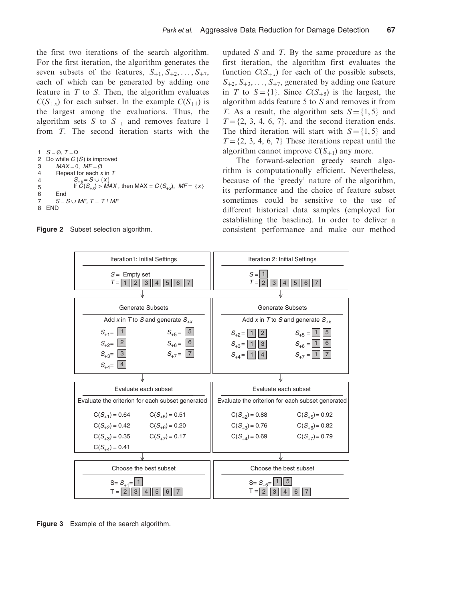the first two iterations of the search algorithm. For the first iteration, the algorithm generates the seven subsets of the features,  $S_{+1}, S_{+2}, \ldots, S_{+7}$ , each of which can be generated by adding one feature in  $T$  to  $S$ . Then, the algorithm evaluates  $C(S_{+x})$  for each subset. In the example  $C(S_{+1})$  is the largest among the evaluations. Thus, the algorithm sets S to  $S_{+1}$  and removes feature 1 from T. The second iteration starts with the

```
1 S = \emptyset, T = \OmegaS = S \cup MF, T = T \setminus MF2 Do while C (S) is improved
3 MAX = 0, MF = \emptyset4 Repeat for each x in T
4
5
               S<sub>+x</sub> = S ∪ {x}
               If \hat{C}(S_{+x}) > MAX, then MAX = C(S_{+x}), MF = {x}
6 End
7
8 END
```
Figure 2 Subset selection algorithm.

updated  $S$  and  $T$ . By the same procedure as the first iteration, the algorithm first evaluates the function  $C(S_{+x})$  for each of the possible subsets,  $S_{+2}, S_{+3}, \ldots, S_{+7}$ , generated by adding one feature in T to  $S = \{1\}$ . Since  $C(S_{+5})$  is the largest, the algorithm adds feature 5 to S and removes it from T. As a result, the algorithm sets  $S = \{1, 5\}$  and  $T = \{2, 3, 4, 6, 7\}$ , and the second iteration ends. The third iteration will start with  $S = \{1, 5\}$  and  $T = \{2, 3, 4, 6, 7\}$  These iterations repeat until the algorithm cannot improve  $C(S_{+1})$  any more.

The forward-selection greedy search algorithm is computationally efficient. Nevertheless, because of the 'greedy' nature of the algorithm, its performance and the choice of feature subset sometimes could be sensitive to the use of different historical data samples (employed for establishing the baseline). In order to deliver a consistent performance and make our method



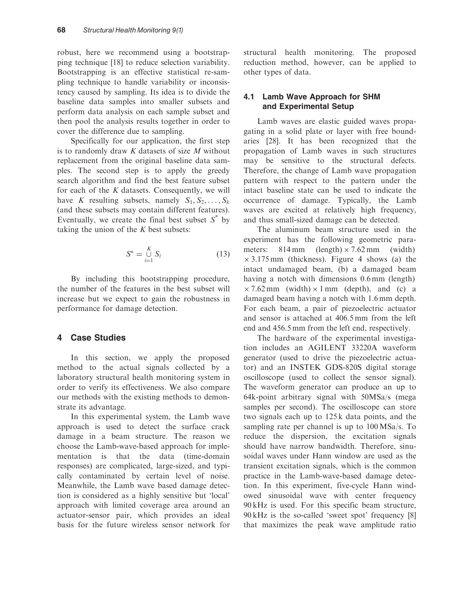robust, here we recommend using a bootstrapping technique [18] to reduce selection variability. Bootstrapping is an effective statistical re-sampling technique to handle variability or inconsistency caused by sampling. Its idea is to divide the baseline data samples into smaller subsets and perform data analysis on each sample subset and then pool the analysis results together in order to cover the difference due to sampling.

Specifically for our application, the first step is to randomly draw  $K$  datasets of size  $M$  without replacement from the original baseline data samples. The second step is to apply the greedy search algorithm and find the best feature subset for each of the  $K$  datasets. Consequently, we will have K resulting subsets, namely  $S_1, S_2, \ldots, S_k$ (and these subsets may contain different features). Eventually, we create the final best subset  $S^*$  by taking the union of the  $K$  best subsets:

$$
S^* = \bigcup_{i=1}^K S_i \tag{13}
$$

By including this bootstrapping procedure, the number of the features in the best subset will increase but we expect to gain the robustness in performance for damage detection.

# 4 Case Studies

In this section, we apply the proposed method to the actual signals collected by a laboratory structural health monitoring system in order to verify its effectiveness. We also compare our methods with the existing methods to demonstrate its advantage.

In this experimental system, the Lamb wave approach is used to detect the surface crack damage in a beam structure. The reason we choose the Lamb-wave-based approach for implementation is that the data (time-domain responses) are complicated, large-sized, and typically contaminated by certain level of noise. Meanwhile, the Lamb wave based damage detection is considered as a highly sensitive but 'local' approach with limited coverage area around an actuator-sensor pair, which provides an ideal basis for the future wireless sensor network for structural health monitoring. The proposed reduction method, however, can be applied to other types of data.

# 4.1 Lamb Wave Approach for SHM and Experimental Setup

Lamb waves are elastic guided waves propagating in a solid plate or layer with free boundaries [28]. It has been recognized that the propagation of Lamb waves in such structures may be sensitive to the structural defects. Therefore, the change of Lamb wave propagation pattern with respect to the pattern under the intact baseline state can be used to indicate the occurrence of damage. Typically, the Lamb waves are excited at relatively high frequency, and thus small-sized damage can be detected.

The aluminum beam structure used in the experiment has the following geometric parameters:  $814 \text{ mm}$  (length)  $\times$  7.62 mm (width)  $\times$  3.175 mm (thickness). Figure 4 shows (a) the intact undamaged beam, (b) a damaged beam having a notch with dimensions 0.6 mm (length)  $\times$  7.62 mm (width)  $\times$  1 mm (depth), and (c) a damaged beam having a notch with 1.6 mm depth. For each beam, a pair of piezoelectric actuator and sensor is attached at 406.5 mm from the left end and 456.5 mm from the left end, respectively.

The hardware of the experimental investigation includes an AGILENT 33220A waveform generator (used to drive the piezoelectric actuator) and an INSTEK GDS-820S digital storage oscilloscope (used to collect the sensor signal). The waveform generator can produce an up to 64k-point arbitrary signal with 50MSa/s (mega samples per second). The oscilloscope can store two signals each up to 125 k data points, and the sampling rate per channel is up to 100 MSa/s. To reduce the dispersion, the excitation signals should have narrow bandwidth. Therefore, sinusoidal waves under Hann window are used as the transient excitation signals, which is the common practice in the Lamb-wave-based damage detection. In this experiment, five-cycle Hann windowed sinusoidal wave with center frequency 90 kHz is used. For this specific beam structure, 90 kHz is the so-called 'sweet spot' frequency [8] that maximizes the peak wave amplitude ratio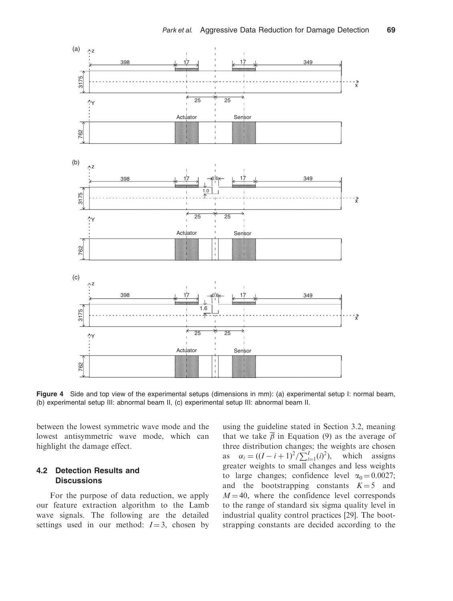

Figure 4 Side and top view of the experimental setups (dimensions in mm): (a) experimental setup I: normal beam, (b) experimental setup III: abnormal beam II, (c) experimental setup III: abnormal beam II.

between the lowest symmetric wave mode and the lowest antisymmetric wave mode, which can highlight the damage effect.

## 4.2 Detection Results and **Discussions**

For the purpose of data reduction, we apply our feature extraction algorithm to the Lamb wave signals. The following are the detailed settings used in our method:  $I = 3$ , chosen by using the guideline stated in Section 3.2, meaning that we take  $\overline{\beta}$  in Equation (9) as the average of three distribution changes; the weights are chosen as  $\alpha_i = ((I - i + 1)^2 / \sum_{i=1}^I (i)^2)$ , which assigns greater weights to small changes and less weights to large changes; confidence level  $\alpha_0 = 0.0027$ ; and the bootstrapping constants  $K = 5$  and  $M = 40$ , where the confidence level corresponds to the range of standard six sigma quality level in industrial quality control practices [29]. The bootstrapping constants are decided according to the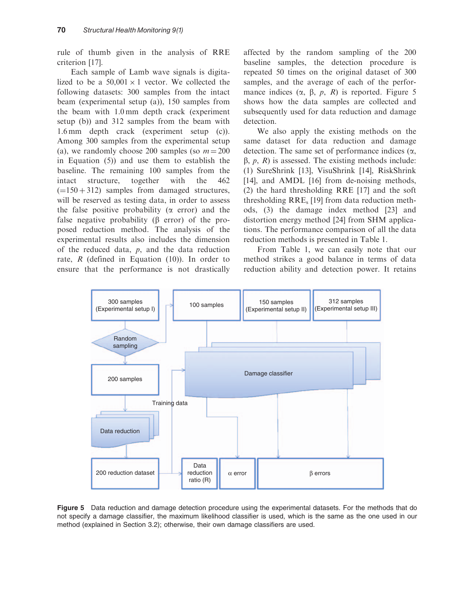rule of thumb given in the analysis of RRE criterion [17].

Each sample of Lamb wave signals is digitalized to be a  $50,001 \times 1$  vector. We collected the following datasets: 300 samples from the intact beam (experimental setup (a)), 150 samples from the beam with 1.0 mm depth crack (experiment setup (b)) and 312 samples from the beam with 1.6 mm depth crack (experiment setup (c)). Among 300 samples from the experimental setup (a), we randomly choose 200 samples (so  $m = 200$ ) in Equation (5)) and use them to establish the baseline. The remaining 100 samples from the intact structure, together with the 462  $(=150 + 312)$  samples from damaged structures, will be reserved as testing data, in order to assess the false positive probability ( $\alpha$  error) and the false negative probability  $(\beta$  error) of the proposed reduction method. The analysis of the experimental results also includes the dimension of the reduced data,  $p$ , and the data reduction rate,  $R$  (defined in Equation  $(10)$ ). In order to ensure that the performance is not drastically

affected by the random sampling of the 200 baseline samples, the detection procedure is repeated 50 times on the original dataset of 300 samples, and the average of each of the performance indices  $(\alpha, \beta, p, R)$  is reported. Figure 5 shows how the data samples are collected and subsequently used for data reduction and damage detection.

We also apply the existing methods on the same dataset for data reduction and damage detection. The same set of performance indices  $(\alpha, \alpha)$  $\beta$ ,  $p$ ,  $R$ ) is assessed. The existing methods include: (1) SureShrink [13], VisuShrink [14], RiskShrink [14], and AMDL [16] from de-noising methods, (2) the hard thresholding RRE [17] and the soft thresholding RREs [19] from data reduction methods, (3) the damage index method [23] and distortion energy method [24] from SHM applications. The performance comparison of all the data reduction methods is presented in Table 1.

From Table 1, we can easily note that our method strikes a good balance in terms of data reduction ability and detection power. It retains



Figure 5 Data reduction and damage detection procedure using the experimental datasets. For the methods that do not specify a damage classifier, the maximum likelihood classifier is used, which is the same as the one used in our method (explained in Section 3.2); otherwise, their own damage classifiers are used.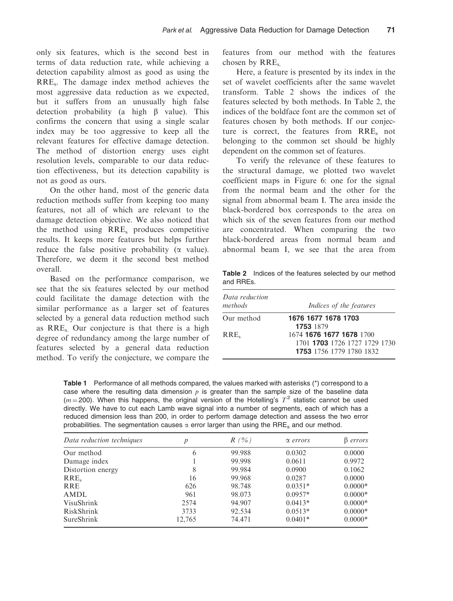only six features, which is the second best in terms of data reduction rate, while achieving a detection capability almost as good as using the RREs. The damage index method achieves the most aggressive data reduction as we expected, but it suffers from an unusually high false detection probability (a high  $\beta$  value). This confirms the concern that using a single scalar index may be too aggressive to keep all the relevant features for effective damage detection. The method of distortion energy uses eight resolution levels, comparable to our data reduction effectiveness, but its detection capability is not as good as ours.

On the other hand, most of the generic data reduction methods suffer from keeping too many features, not all of which are relevant to the damage detection objective. We also noticed that the method using RREs produces competitive results. It keeps more features but helps further reduce the false positive probability  $(\alpha$  value). Therefore, we deem it the second best method overall.

Based on the performance comparison, we see that the six features selected by our method could facilitate the damage detection with the similar performance as a larger set of features selected by a general data reduction method such as RREs. Our conjecture is that there is a high degree of redundancy among the large number of features selected by a general data reduction method. To verify the conjecture, we compare the features from our method with the features chosen by RRE.

Here, a feature is presented by its index in the set of wavelet coefficients after the same wavelet transform. Table 2 shows the indices of the features selected by both methods. In Table 2, the indices of the boldface font are the common set of features chosen by both methods. If our conjecture is correct, the features from RRE<sub>s</sub> not belonging to the common set should be highly dependent on the common set of features.

To verify the relevance of these features to the structural damage, we plotted two wavelet coefficient maps in Figure 6: one for the signal from the normal beam and the other for the signal from abnormal beam I. The area inside the black-bordered box corresponds to the area on which six of the seven features from our method are concentrated. When comparing the two black-bordered areas from normal beam and abnormal beam I, we see that the area from

Table 2 Indices of the features selected by our method and RREs.

| Indices of the features<br>1676 1677 1678 1703 |  |  |  |
|------------------------------------------------|--|--|--|
|                                                |  |  |  |
| 1674 1676 1677 1678 1700                       |  |  |  |
| 1701 <b>1703</b> 1726 1727 1729 1730           |  |  |  |
| 1753 1756 1779 1780 1832                       |  |  |  |
|                                                |  |  |  |

Table 1 Performance of all methods compared, the values marked with asterisks (\*) correspond to a case where the resulting data dimension  $p$  is greater than the sample size of the baseline data  $(m = 200)$ . When this happens, the original version of the Hotelling's  $T<sup>2</sup>$  statistic cannot be used directly. We have to cut each Lamb wave signal into a number of segments, each of which has a reduced dimension less than 200, in order to perform damage detection and assess the two error probabilities. The segmentation causes  $\alpha$  error larger than using the RRE<sub>s</sub> and our method.

| Data reduction techniques | р      | $R(\%)$ | $\alpha$ errors | B errors  |
|---------------------------|--------|---------|-----------------|-----------|
| Our method                | 6      | 99.988  | 0.0302          | 0.0000    |
| Damage index              |        | 99.998  | 0.0611          | 0.9972    |
| Distortion energy         | 8      | 99.984  | 0.0900          | 0.1062    |
| $RRE_s$                   | 16     | 99.968  | 0.0287          | 0.0000    |
| <b>RRE</b>                | 626    | 98.748  | $0.0351*$       | $0.0000*$ |
| AMDL                      | 961    | 98.073  | $0.0957*$       | $0.0000*$ |
| VisuShrink                | 2574   | 94.907  | $0.0413*$       | $0.0000*$ |
| RiskShrink                | 3733   | 92.534  | $0.0513*$       | $0.0000*$ |
| SureShrink                | 12,765 | 74.471  | $0.0401*$       | $0.0000*$ |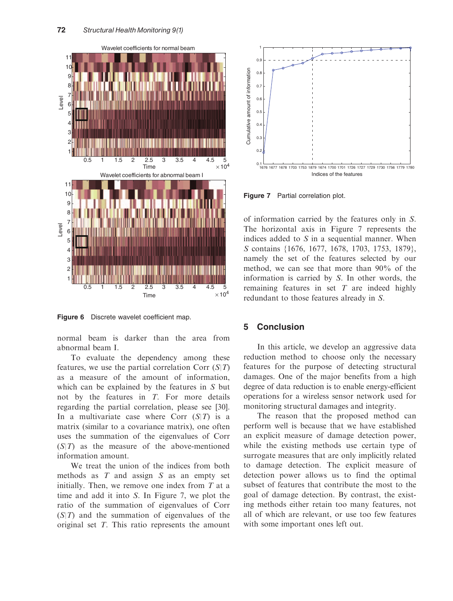

Figure 6 Discrete wavelet coefficient map.

normal beam is darker than the area from abnormal beam I.

To evaluate the dependency among these features, we use the partial correlation Corr  $(S|T)$ as a measure of the amount of information, which can be explained by the features in S but not by the features in T. For more details regarding the partial correlation, please see [30]. In a multivariate case where Corr  $(S|T)$  is a matrix (similar to a covariance matrix), one often uses the summation of the eigenvalues of Corr  $(S|T)$  as the measure of the above-mentioned information amount.

We treat the union of the indices from both methods as  $T$  and assign  $S$  as an empty set initially. Then, we remove one index from  $T$  at a time and add it into S. In Figure 7, we plot the ratio of the summation of eigenvalues of Corr  $(S|T)$  and the summation of eigenvalues of the original set T. This ratio represents the amount



Figure 7 Partial correlation plot.

of information carried by the features only in S. The horizontal axis in Figure 7 represents the indices added to S in a sequential manner. When S contains {1676, 1677, 1678, 1703, 1753, 1879}, namely the set of the features selected by our method, we can see that more than 90% of the information is carried by S. In other words, the remaining features in set  $T$  are indeed highly redundant to those features already in S.

# 5 Conclusion

In this article, we develop an aggressive data reduction method to choose only the necessary features for the purpose of detecting structural damages. One of the major benefits from a high degree of data reduction is to enable energy-efficient operations for a wireless sensor network used for monitoring structural damages and integrity.

The reason that the proposed method can perform well is because that we have established an explicit measure of damage detection power, while the existing methods use certain type of surrogate measures that are only implicitly related to damage detection. The explicit measure of detection power allows us to find the optimal subset of features that contribute the most to the goal of damage detection. By contrast, the existing methods either retain too many features, not all of which are relevant, or use too few features with some important ones left out.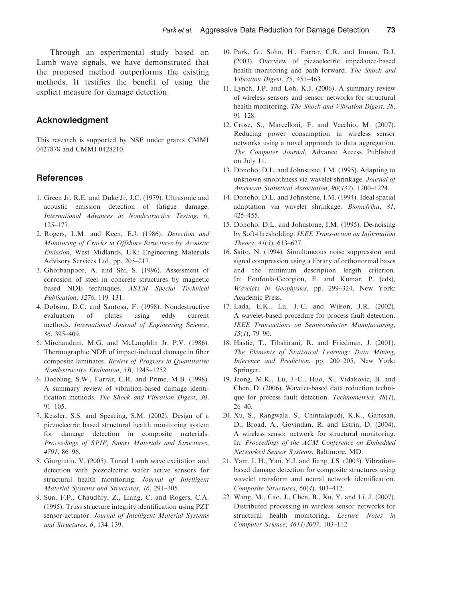Through an experimental study based on Lamb wave signals, we have demonstrated that the proposed method outperforms the existing methods. It testifies the benefit of using the explicit measure for damage detection.

# Acknowledgment

This research is supported by NSF under grants CMMI 0427878 and CMMI 0428210.

### **References**

- 1. Green Jr, R.E. and Duke Jr, J.C. (1979). Ultrasonic and acoustic emission detection of fatigue damage. International Advances in Nondestructive Testing, 6, 125–177.
- 2. Rogers, L.M. and Keen, E.J. (1986). Detection and Monitoring of Cracks in Offshore Structures by Acoustic Emission, West Midlands, UK: Engineering Materials Advisory Services Ltd, pp. 205–217.
- 3. Ghorbanpoor, A. and Shi, S. (1996). Assessment of corrosion of steel in concrete structures by magnetic based NDE techniques. ASTM Special Technical Publication, 1276, 119–131.
- 4. Dobson, D.C. and Santosa, F. (1998). Nondestructive evaluation of plates using eddy current methods. International Journal of Engineering Science, 36, 395–409.
- 5. Mirchandani, M.G. and McLaughlin Jr, P.V. (1986). Thermographic NDE of impact-induced damage in fiber composite laminates. Review of Progress in Quantitative Nondestructive Evaluation, 5B, 1245–1252.
- 6. Doebling, S.W., Farrar, C.R. and Prime, M.B. (1998). A summary review of vibration-based damage identification methods. The Shock and Vibration Digest, 30, 91–105.
- 7. Kessler, S.S. and Spearing, S.M. (2002). Design of a piezoelectric based structural health monitoring system for damage detection in composite materials. Proceedings of SPIE, Smart Materials and Structures, 4701, 86–96.
- 8. Giurgiutiu, V. (2005). Tuned Lamb wave excitation and detection with piezoelectric wafer active sensors for structural health monitoring. Journal of Intelligent Material Systems and Structures, 16, 291–305.
- 9. Sun, F.P., Chaudhry, Z., Liang, C. and Rogers, C.A. (1995). Truss structure integrity identification using PZT sensor-actuator. Journal of Intelligent Material Systems and Structures, 6, 134–139.
- 10. Park, G., Sohn, H., Farrar, C.R. and Inman, D.J. (2003). Overview of piezoelectric impedance-based health monitoring and path forward. The Shock and Vibration Digest, 35, 451–463.
- 11. Lynch, J.P. and Loh, K.J. (2006). A summary review of wireless sensors and sensor networks for structural health monitoring. The Shock and Vibration Digest, 38, 91–128.
- 12. Crose, S., Marcelloni, F. and Vecchio, M. (2007). Reducing power consumption in wireless sensor networks using a novel approach to data aggregation. The Computer Journal, Advance Access Published on July 11.
- 13. Donoho, D.L. and Johnstone, I.M. (1995). Adapting to unknown smoothness via wavelet shrinkage. Journal of American Statistical Association, 90(432), 1200–1224.
- 14. Donoho, D.L. and Johnstone, I.M. (1994). Ideal spatial adaptation via wavelet shrinkage. Biomefrika, 81, 425–455.
- 15. Donoho, D.L. and Johnstone, I.M. (1995). De-noising by Soft-thresholding. IEEE Trans-action on Information Theory, 41(3), 613–627.
- 16. Saito, N. (1994). Simultaneous noise suppression and signal compression using a library of orthonormal bases and the minimum description length criterion. In: Foufoula-Georgiou, E. and Kumar, P. (eds), Wavelets in Geophysics, pp. 299–324, New York: Academic Press.
- 17. Lada, E.K., Lu, J.-C. and Wilson, J.R. (2002). A wavelet-based procedure for process fault detection. IEEE Transactions on Semiconductor Manufacturing,  $15(1)$ , 79–90.
- 18. Hastie, T., Tibshirani, R. and Friedman, J. (2001). The Elements of Statistical Learning: Data Mining, Inference and Prediction, pp. 200–205, New York: Springer.
- 19. Jeong, M.K., Lu, J.-C., Huo, X., Vidakovic, B. and Chen, D. (2006). Wavelet-based data reduction technique for process fault detection. Technometrics, 48(1), 26–40.
- 20. Xu, S., Rangwala, S., Chintalapudi, K.K., Ganesan, D., Broad, A., Govindan, R. and Estrin, D. (2004). A wireless sensor network for structural monitoring. In: Proceedings of the ACM Conference on Embedded Networked Sensor Systems, Baltimore, MD.
- 21. Yam, L.H., Yan, Y.J. and Jiang, J.S. (2003). Vibrationbased damage detection for composite structures using wavelet transform and neural network identification. Composite Structures, 60(4), 403–412.
- 22. Wang, M., Cao, J., Chen, B., Xu, Y. and Li, J. (2007). Distributed processing in wireless sensor networks for structural health monitoring. Lecture Notes in Computer Science, 4611/2007, 103–112.